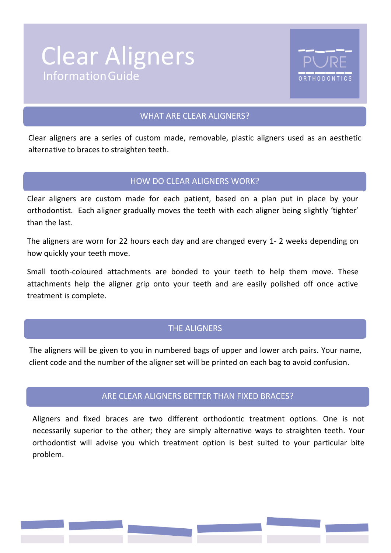# InformationGuide Clear Aligners



# WHAT ARE CLEAR ALIGNERS?

Clear aligners are a series of custom made, removable, plastic aligners used as an aesthetic alternative to braces to straighten teeth.

## HOW DO CLEAR ALIGNERS WORK?

Clear aligners are custom made for each patient, based on a plan put in place by your orthodontist. Each aligner gradually moves the teeth with each aligner being slightly 'tighter' than the last.

The aligners are worn for 22 hours each day and are changed every 1- 2 weeks depending on how quickly your teeth move.

Small tooth-coloured attachments are bonded to your teeth to help them move. These attachments help the aligner grip onto your teeth and are easily polished off once active treatment is complete.

# THE ALIGNERS

The aligners will be given to you in numbered bags of upper and lower arch pairs. Your name, client code and the number of the aligner set will be printed on each bag to avoid confusion.

# ARE CLEAR ALIGNERS BETTER THAN FIXED BRACES?

Aligners and fixed braces are two different orthodontic treatment options. One is not necessarily superior to the other; they are simply alternative ways to straighten teeth. Your orthodontist will advise you which treatment option is best suited to your particular bite problem.